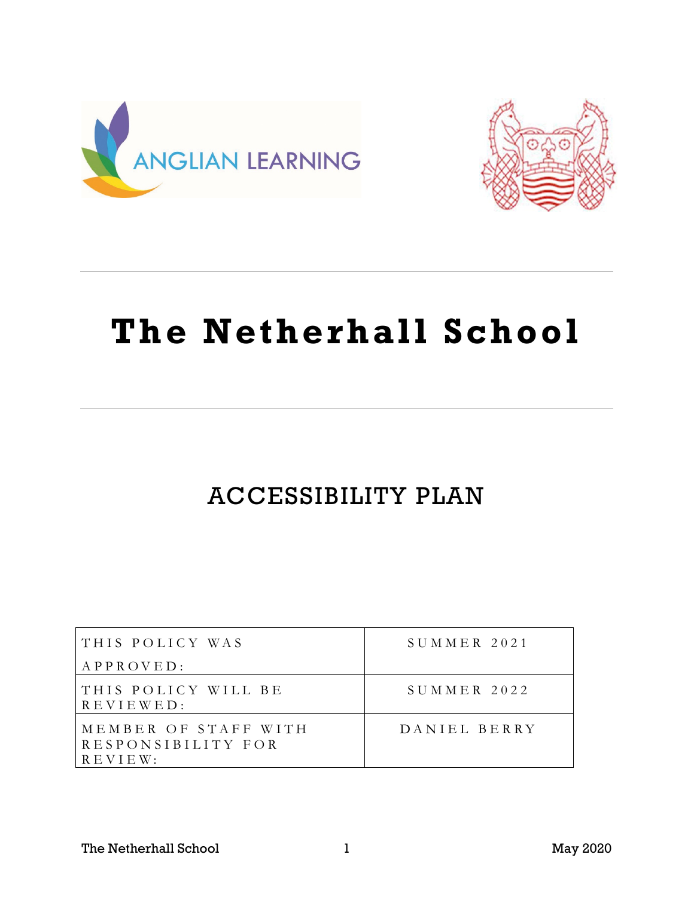



# **The Netherhall School**

## ACCESSIBILITY PLAN

| THIS POLICY WAS                                              | $S$ UMMER 2021 |
|--------------------------------------------------------------|----------------|
| APPROVED:                                                    |                |
| THIS POLICY WILL BE<br>$R E V I E W E D$ :                   | $SUMMER$ 2022  |
| MEMBER OF STAFF WITH<br>RESPONSIBILITY FOR<br>$R$ E V I E W: | DANIEL BERRY   |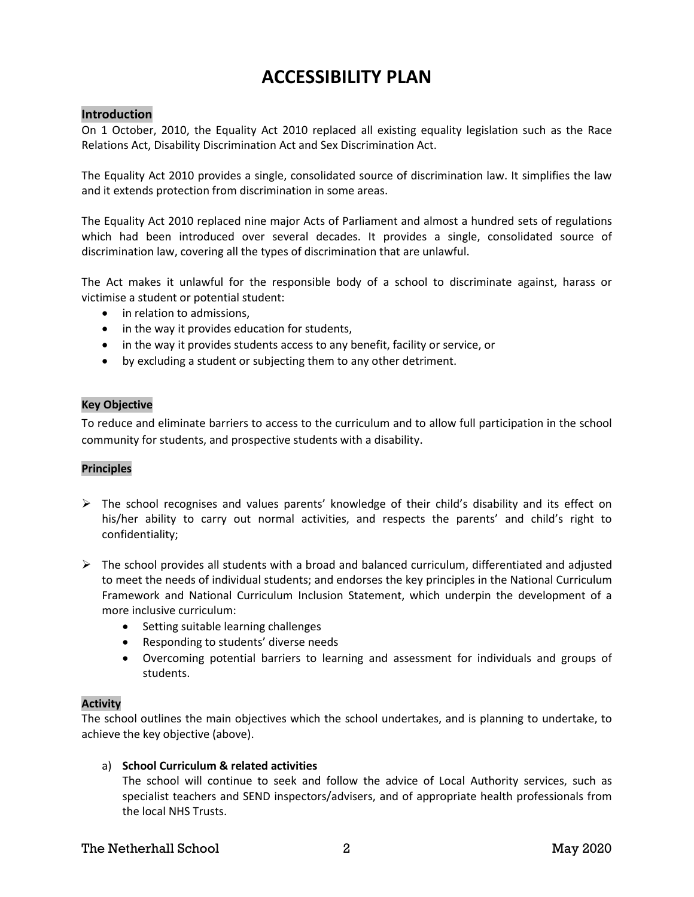## **ACCESSIBILITY PLAN**

#### **Introduction**

On 1 October, 2010, the Equality Act 2010 replaced all existing equality legislation such as the Race Relations Act, Disability Discrimination Act and Sex Discrimination Act.

The Equality Act 2010 provides a single, consolidated source of discrimination law. It simplifies the law and it extends protection from discrimination in some areas.

The Equality Act 2010 replaced nine major Acts of Parliament and almost a hundred sets of regulations which had been introduced over several decades. It provides a single, consolidated source of discrimination law, covering all the types of discrimination that are unlawful.

The Act makes it unlawful for the responsible body of a school to discriminate against, harass or victimise a student or potential student:

- in relation to admissions,
- in the way it provides education for students,
- in the way it provides students access to any benefit, facility or service, or
- by excluding a student or subjecting them to any other detriment.

#### **Key Objective**

To reduce and eliminate barriers to access to the curriculum and to allow full participation in the school community for students, and prospective students with a disability.

#### **Principles**

- $\triangleright$  The school recognises and values parents' knowledge of their child's disability and its effect on his/her ability to carry out normal activities, and respects the parents' and child's right to confidentiality;
- $\triangleright$  The school provides all students with a broad and balanced curriculum, differentiated and adjusted to meet the needs of individual students; and endorses the key principles in the National Curriculum Framework and National Curriculum Inclusion Statement, which underpin the development of a more inclusive curriculum:
	- Setting suitable learning challenges
	- Responding to students' diverse needs
	- Overcoming potential barriers to learning and assessment for individuals and groups of students.

#### **Activity**

The school outlines the main objectives which the school undertakes, and is planning to undertake, to achieve the key objective (above).

#### a) **School Curriculum & related activities**

The school will continue to seek and follow the advice of Local Authority services, such as specialist teachers and SEND inspectors/advisers, and of appropriate health professionals from the local NHS Trusts.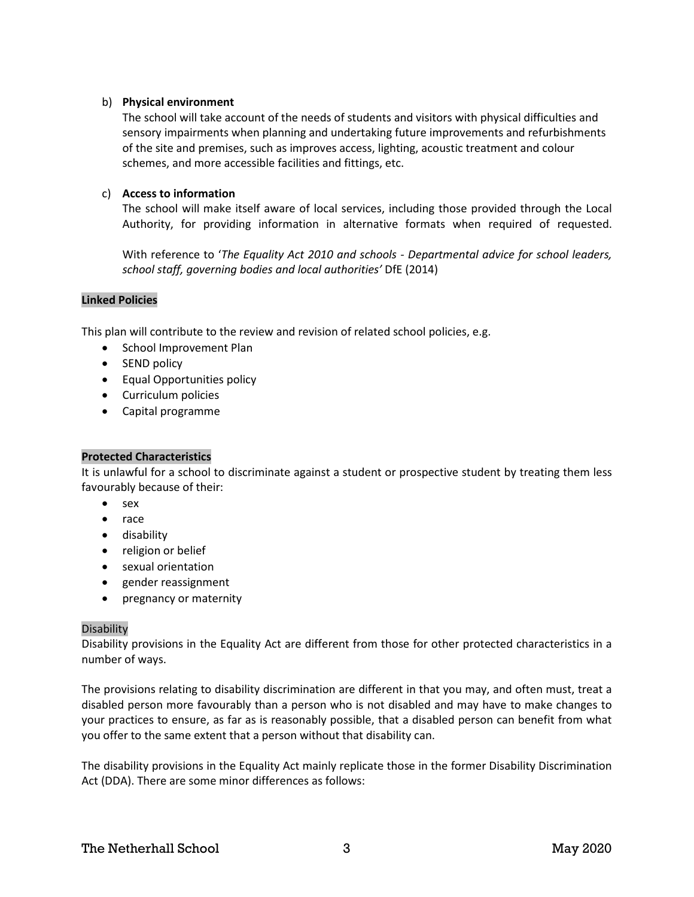#### b) **Physical environment**

The school will take account of the needs of students and visitors with physical difficulties and sensory impairments when planning and undertaking future improvements and refurbishments of the site and premises, such as improves access, lighting, acoustic treatment and colour schemes, and more accessible facilities and fittings, etc.

#### c) **Access to information**

The school will make itself aware of local services, including those provided through the Local Authority, for providing information in alternative formats when required of requested.

With reference to '*The Equality Act 2010 and schools - Departmental advice for school leaders, school staff, governing bodies and local authorities'* DfE (2014)

#### **Linked Policies**

This plan will contribute to the review and revision of related school policies, e.g.

- School Improvement Plan
- SEND policy
- Equal Opportunities policy
- Curriculum policies
- Capital programme

#### **Protected Characteristics**

It is unlawful for a school to discriminate against a student or prospective student by treating them less favourably because of their:

- sex
- race
- disability
- religion or belief
- sexual orientation
- gender reassignment
- pregnancy or maternity

#### Disability

Disability provisions in the Equality Act are different from those for other protected characteristics in a number of ways.

The provisions relating to disability discrimination are different in that you may, and often must, treat a disabled person more favourably than a person who is not disabled and may have to make changes to your practices to ensure, as far as is reasonably possible, that a disabled person can benefit from what you offer to the same extent that a person without that disability can.

The disability provisions in the Equality Act mainly replicate those in the former Disability Discrimination Act (DDA). There are some minor differences as follows: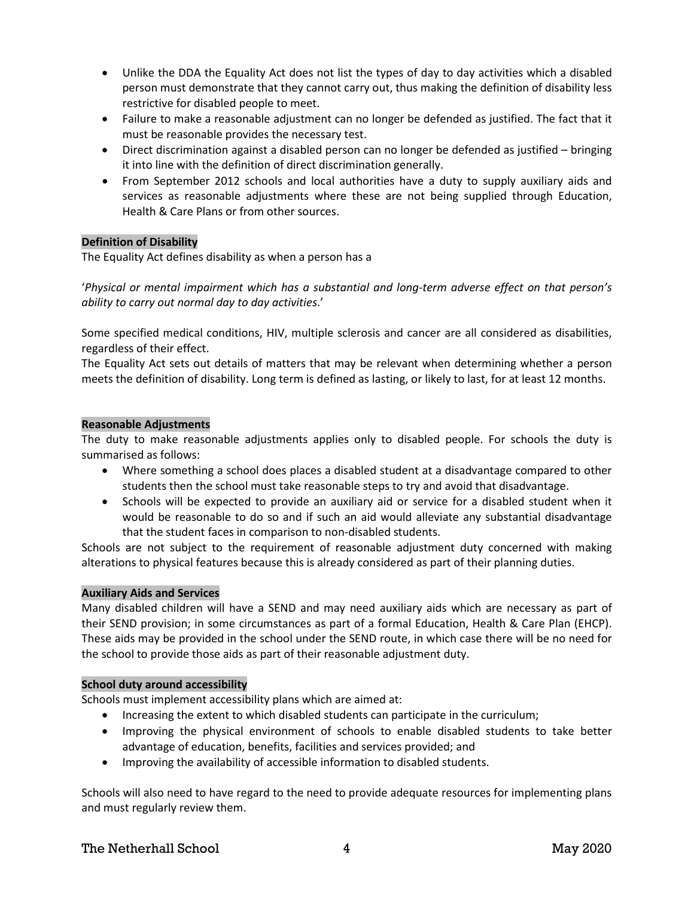- Unlike the DDA the Equality Act does not list the types of day to day activities which a disabled person must demonstrate that they cannot carry out, thus making the definition of disability less restrictive for disabled people to meet.
- Failure to make a reasonable adjustment can no longer be defended as justified. The fact that it must be reasonable provides the necessary test.
- Direct discrimination against a disabled person can no longer be defended as justified bringing it into line with the definition of direct discrimination generally.
- From September 2012 schools and local authorities have a duty to supply auxiliary aids and services as reasonable adjustments where these are not being supplied through Education, Health & Care Plans or from other sources.

#### **Definition of Disability**

The Equality Act defines disability as when a person has a

'*Physical or mental impairment which has a substantial and long-term adverse effect on that person's ability to carry out normal day to day activities*.'

Some specified medical conditions, HIV, multiple sclerosis and cancer are all considered as disabilities, regardless of their effect.

The Equality Act sets out details of matters that may be relevant when determining whether a person meets the definition of disability. Long term is defined as lasting, or likely to last, for at least 12 months.

#### **Reasonable Adjustments**

The duty to make reasonable adjustments applies only to disabled people. For schools the duty is summarised as follows:

- Where something a school does places a disabled student at a disadvantage compared to other students then the school must take reasonable steps to try and avoid that disadvantage.
- Schools will be expected to provide an auxiliary aid or service for a disabled student when it would be reasonable to do so and if such an aid would alleviate any substantial disadvantage that the student faces in comparison to non-disabled students.

Schools are not subject to the requirement of reasonable adjustment duty concerned with making alterations to physical features because this is already considered as part of their planning duties.

#### **Auxiliary Aids and Services**

Many disabled children will have a SEND and may need auxiliary aids which are necessary as part of their SEND provision; in some circumstances as part of a formal Education, Health & Care Plan (EHCP). These aids may be provided in the school under the SEND route, in which case there will be no need for the school to provide those aids as part of their reasonable adjustment duty.

#### **School duty around accessibility**

Schools must implement accessibility plans which are aimed at:

- Increasing the extent to which disabled students can participate in the curriculum;
- Improving the physical environment of schools to enable disabled students to take better advantage of education, benefits, facilities and services provided; and
- Improving the availability of accessible information to disabled students.

Schools will also need to have regard to the need to provide adequate resources for implementing plans and must regularly review them.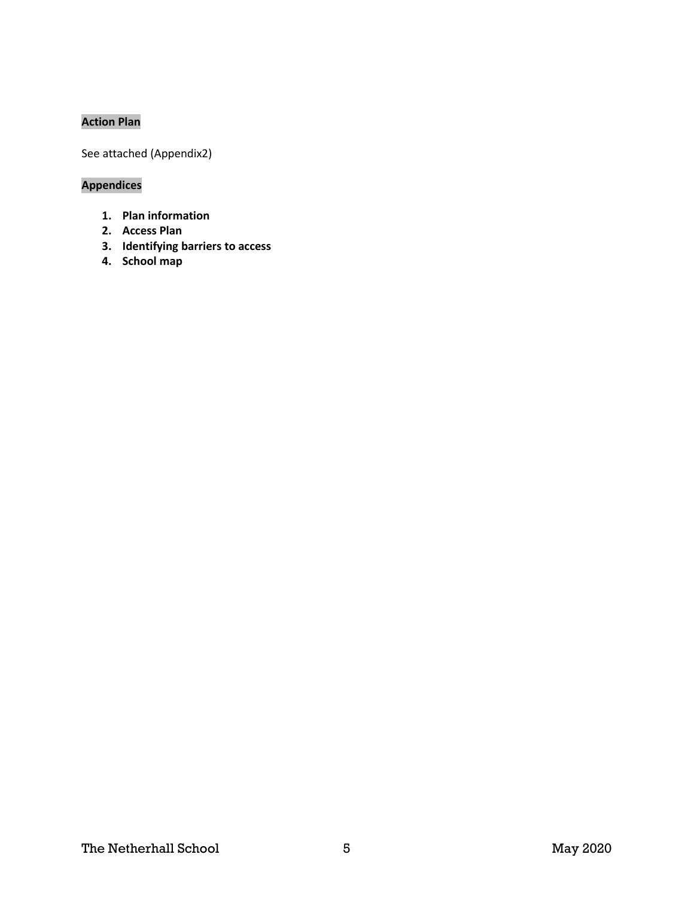#### **Action Plan**

See attached (Appendix2)

### **Appendices**

- **1. Plan information**
- **2. Access Plan**
- **3. Identifying barriers to access**
- **4. School map**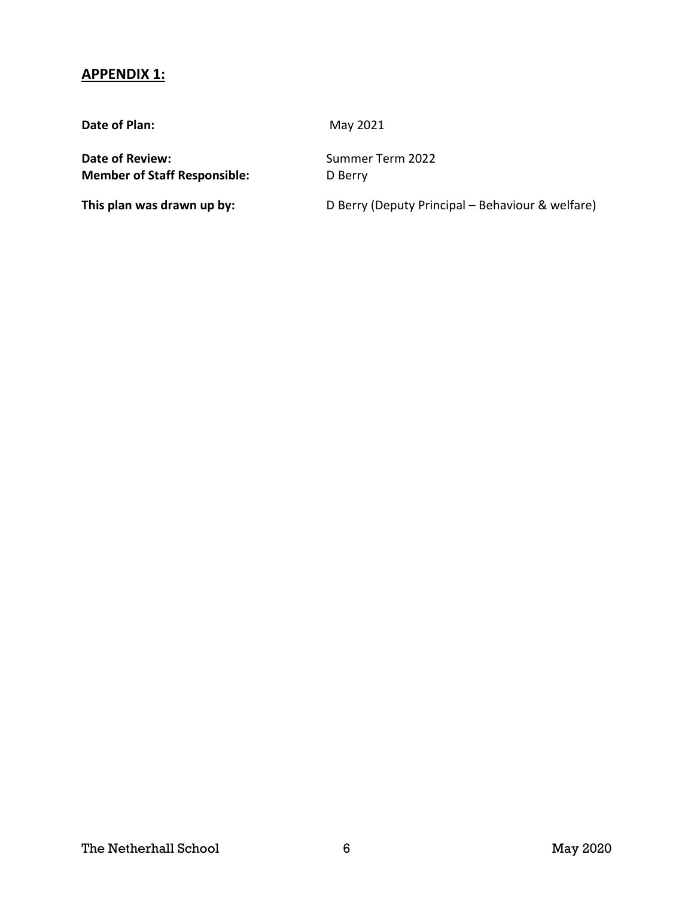#### **APPENDIX 1:**

**Date of Plan:** May 2021

**Date of Review:** Summer Term 2022 **Member of Staff Responsible:** D Berry

**This plan was drawn up by:** D Berry (Deputy Principal – Behaviour & welfare)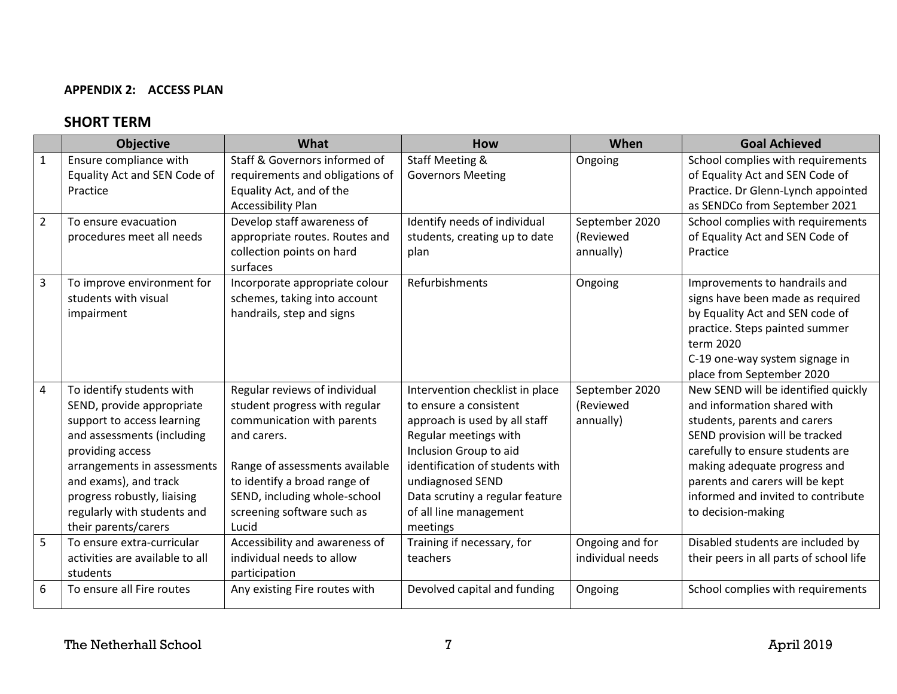#### **APPENDIX 2: ACCESS PLAN**

### **SHORT TERM**

|                         | <b>Objective</b>                                                                                                                                                                                                                                                                     | What                                                                                                                                                                                                                                                 | <b>How</b>                                                                                                                                                                                                                                                                    | When                                     | <b>Goal Achieved</b>                                                                                                                                                                                                                                                                                    |
|-------------------------|--------------------------------------------------------------------------------------------------------------------------------------------------------------------------------------------------------------------------------------------------------------------------------------|------------------------------------------------------------------------------------------------------------------------------------------------------------------------------------------------------------------------------------------------------|-------------------------------------------------------------------------------------------------------------------------------------------------------------------------------------------------------------------------------------------------------------------------------|------------------------------------------|---------------------------------------------------------------------------------------------------------------------------------------------------------------------------------------------------------------------------------------------------------------------------------------------------------|
| 1                       | Ensure compliance with<br>Equality Act and SEN Code of<br>Practice                                                                                                                                                                                                                   | Staff & Governors informed of<br>requirements and obligations of<br>Equality Act, and of the<br><b>Accessibility Plan</b>                                                                                                                            | Staff Meeting &<br><b>Governors Meeting</b>                                                                                                                                                                                                                                   | Ongoing                                  | School complies with requirements<br>of Equality Act and SEN Code of<br>Practice. Dr Glenn-Lynch appointed<br>as SENDCo from September 2021                                                                                                                                                             |
| $\overline{2}$          | To ensure evacuation<br>procedures meet all needs                                                                                                                                                                                                                                    | Develop staff awareness of<br>appropriate routes. Routes and<br>collection points on hard<br>surfaces                                                                                                                                                | Identify needs of individual<br>students, creating up to date<br>plan                                                                                                                                                                                                         | September 2020<br>(Reviewed<br>annually) | School complies with requirements<br>of Equality Act and SEN Code of<br>Practice                                                                                                                                                                                                                        |
| $\overline{\mathbf{3}}$ | To improve environment for<br>students with visual<br>impairment                                                                                                                                                                                                                     | Incorporate appropriate colour<br>schemes, taking into account<br>handrails, step and signs                                                                                                                                                          | Refurbishments                                                                                                                                                                                                                                                                | Ongoing                                  | Improvements to handrails and<br>signs have been made as required<br>by Equality Act and SEN code of<br>practice. Steps painted summer<br>term 2020<br>C-19 one-way system signage in<br>place from September 2020                                                                                      |
| 4                       | To identify students with<br>SEND, provide appropriate<br>support to access learning<br>and assessments (including<br>providing access<br>arrangements in assessments<br>and exams), and track<br>progress robustly, liaising<br>regularly with students and<br>their parents/carers | Regular reviews of individual<br>student progress with regular<br>communication with parents<br>and carers.<br>Range of assessments available<br>to identify a broad range of<br>SEND, including whole-school<br>screening software such as<br>Lucid | Intervention checklist in place<br>to ensure a consistent<br>approach is used by all staff<br>Regular meetings with<br>Inclusion Group to aid<br>identification of students with<br>undiagnosed SEND<br>Data scrutiny a regular feature<br>of all line management<br>meetings | September 2020<br>(Reviewed<br>annually) | New SEND will be identified quickly<br>and information shared with<br>students, parents and carers<br>SEND provision will be tracked<br>carefully to ensure students are<br>making adequate progress and<br>parents and carers will be kept<br>informed and invited to contribute<br>to decision-making |
| 5                       | To ensure extra-curricular<br>activities are available to all<br>students                                                                                                                                                                                                            | Accessibility and awareness of<br>individual needs to allow<br>participation                                                                                                                                                                         | Training if necessary, for<br>teachers                                                                                                                                                                                                                                        | Ongoing and for<br>individual needs      | Disabled students are included by<br>their peers in all parts of school life                                                                                                                                                                                                                            |
| 6                       | To ensure all Fire routes                                                                                                                                                                                                                                                            | Any existing Fire routes with                                                                                                                                                                                                                        | Devolved capital and funding                                                                                                                                                                                                                                                  | Ongoing                                  | School complies with requirements                                                                                                                                                                                                                                                                       |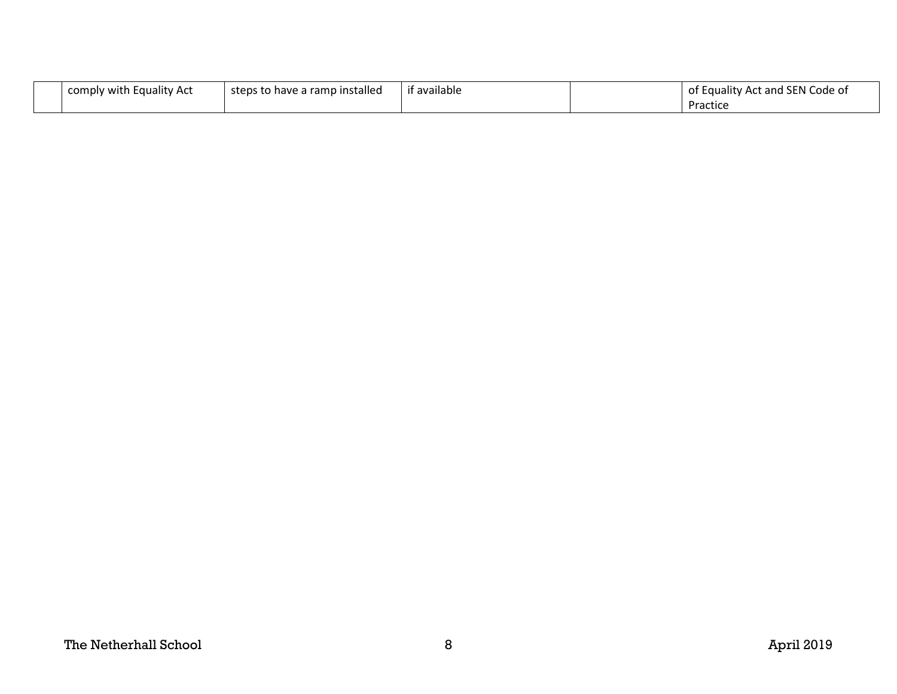| comply with Equality Act | steps to have a ramp installed | if available | of Equality Act and SEN Code of |
|--------------------------|--------------------------------|--------------|---------------------------------|
|                          |                                |              | Practice                        |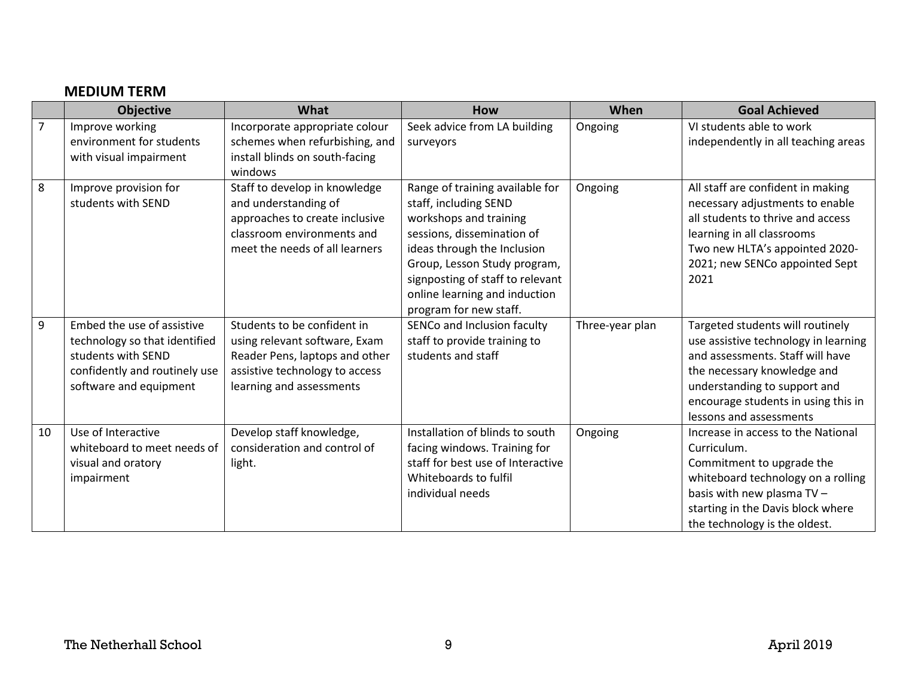## **MEDIUM TERM**

|                | <b>Objective</b>              | What                           | How                               | When            | <b>Goal Achieved</b>                 |
|----------------|-------------------------------|--------------------------------|-----------------------------------|-----------------|--------------------------------------|
| $\overline{7}$ | Improve working               | Incorporate appropriate colour | Seek advice from LA building      | Ongoing         | VI students able to work             |
|                | environment for students      | schemes when refurbishing, and | surveyors                         |                 | independently in all teaching areas  |
|                | with visual impairment        | install blinds on south-facing |                                   |                 |                                      |
|                |                               | windows                        |                                   |                 |                                      |
| 8              | Improve provision for         | Staff to develop in knowledge  | Range of training available for   | Ongoing         | All staff are confident in making    |
|                | students with SEND            | and understanding of           | staff, including SEND             |                 | necessary adjustments to enable      |
|                |                               | approaches to create inclusive | workshops and training            |                 | all students to thrive and access    |
|                |                               | classroom environments and     | sessions, dissemination of        |                 | learning in all classrooms           |
|                |                               | meet the needs of all learners | ideas through the Inclusion       |                 | Two new HLTA's appointed 2020-       |
|                |                               |                                | Group, Lesson Study program,      |                 | 2021; new SENCo appointed Sept       |
|                |                               |                                | signposting of staff to relevant  |                 | 2021                                 |
|                |                               |                                | online learning and induction     |                 |                                      |
|                |                               |                                | program for new staff.            |                 |                                      |
| 9              | Embed the use of assistive    | Students to be confident in    | SENCo and Inclusion faculty       | Three-year plan | Targeted students will routinely     |
|                | technology so that identified | using relevant software, Exam  | staff to provide training to      |                 | use assistive technology in learning |
|                | students with SEND            | Reader Pens, laptops and other | students and staff                |                 | and assessments. Staff will have     |
|                | confidently and routinely use | assistive technology to access |                                   |                 | the necessary knowledge and          |
|                | software and equipment        | learning and assessments       |                                   |                 | understanding to support and         |
|                |                               |                                |                                   |                 | encourage students in using this in  |
|                |                               |                                |                                   |                 | lessons and assessments              |
| 10             | Use of Interactive            | Develop staff knowledge,       | Installation of blinds to south   | Ongoing         | Increase in access to the National   |
|                | whiteboard to meet needs of   | consideration and control of   | facing windows. Training for      |                 | Curriculum.                          |
|                | visual and oratory            | light.                         | staff for best use of Interactive |                 | Commitment to upgrade the            |
|                | impairment                    |                                | Whiteboards to fulfil             |                 | whiteboard technology on a rolling   |
|                |                               |                                | individual needs                  |                 | basis with new plasma TV -           |
|                |                               |                                |                                   |                 | starting in the Davis block where    |
|                |                               |                                |                                   |                 | the technology is the oldest.        |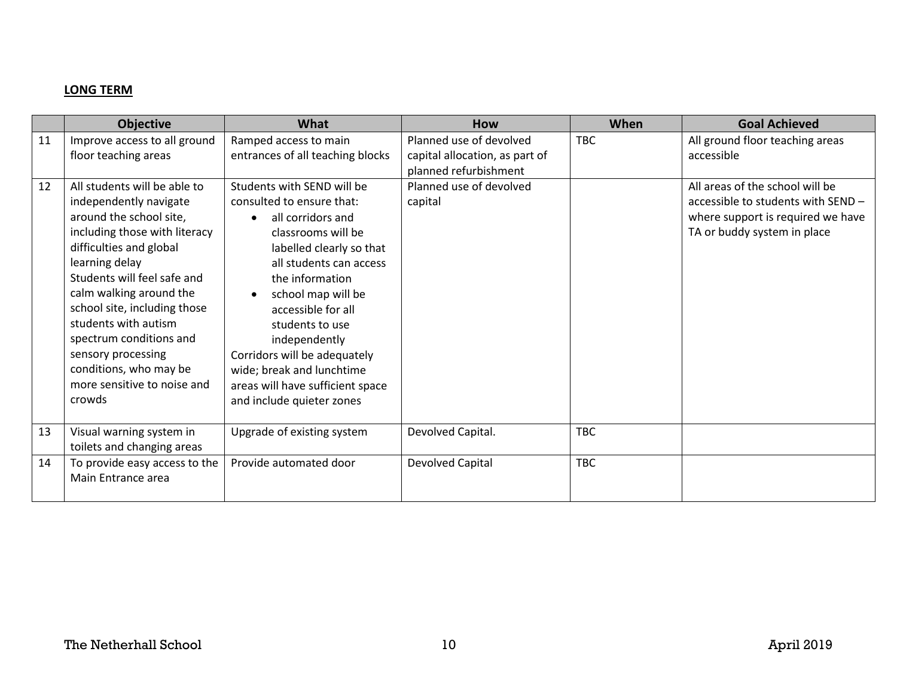#### **LONG TERM**

|          | <b>Objective</b>                                                                                                                                                                                                                                                                                                                                                                                                                                              | What                                                                                                                                                                                                                                                                                                                                                                                                                                                    | <b>How</b>                                                                                                               | When       | <b>Goal Achieved</b>                                                                                                                                                                       |
|----------|---------------------------------------------------------------------------------------------------------------------------------------------------------------------------------------------------------------------------------------------------------------------------------------------------------------------------------------------------------------------------------------------------------------------------------------------------------------|---------------------------------------------------------------------------------------------------------------------------------------------------------------------------------------------------------------------------------------------------------------------------------------------------------------------------------------------------------------------------------------------------------------------------------------------------------|--------------------------------------------------------------------------------------------------------------------------|------------|--------------------------------------------------------------------------------------------------------------------------------------------------------------------------------------------|
| 11<br>12 | Improve access to all ground<br>floor teaching areas<br>All students will be able to<br>independently navigate<br>around the school site,<br>including those with literacy<br>difficulties and global<br>learning delay<br>Students will feel safe and<br>calm walking around the<br>school site, including those<br>students with autism<br>spectrum conditions and<br>sensory processing<br>conditions, who may be<br>more sensitive to noise and<br>crowds | Ramped access to main<br>entrances of all teaching blocks<br>Students with SEND will be<br>consulted to ensure that:<br>all corridors and<br>classrooms will be<br>labelled clearly so that<br>all students can access<br>the information<br>school map will be<br>accessible for all<br>students to use<br>independently<br>Corridors will be adequately<br>wide; break and lunchtime<br>areas will have sufficient space<br>and include quieter zones | Planned use of devolved<br>capital allocation, as part of<br>planned refurbishment<br>Planned use of devolved<br>capital | <b>TBC</b> | All ground floor teaching areas<br>accessible<br>All areas of the school will be<br>accessible to students with SEND -<br>where support is required we have<br>TA or buddy system in place |
| 13       | Visual warning system in<br>toilets and changing areas                                                                                                                                                                                                                                                                                                                                                                                                        | Upgrade of existing system                                                                                                                                                                                                                                                                                                                                                                                                                              | Devolved Capital.                                                                                                        | <b>TBC</b> |                                                                                                                                                                                            |
| 14       | To provide easy access to the<br>Main Entrance area                                                                                                                                                                                                                                                                                                                                                                                                           | Provide automated door                                                                                                                                                                                                                                                                                                                                                                                                                                  | Devolved Capital                                                                                                         | <b>TBC</b> |                                                                                                                                                                                            |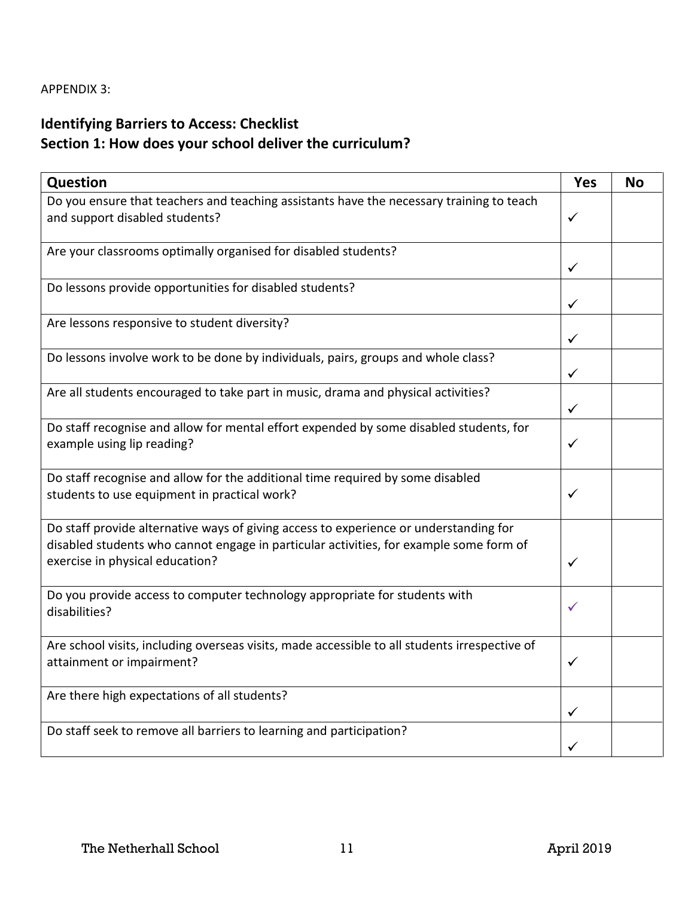## **Identifying Barriers to Access: Checklist Section 1: How does your school deliver the curriculum?**

| Question                                                                                                                                                                                                           | <b>Yes</b>   | <b>No</b> |
|--------------------------------------------------------------------------------------------------------------------------------------------------------------------------------------------------------------------|--------------|-----------|
| Do you ensure that teachers and teaching assistants have the necessary training to teach<br>and support disabled students?                                                                                         | ✓            |           |
| Are your classrooms optimally organised for disabled students?                                                                                                                                                     | $\checkmark$ |           |
| Do lessons provide opportunities for disabled students?                                                                                                                                                            | ✓            |           |
| Are lessons responsive to student diversity?                                                                                                                                                                       | ✓            |           |
| Do lessons involve work to be done by individuals, pairs, groups and whole class?                                                                                                                                  | ✓            |           |
| Are all students encouraged to take part in music, drama and physical activities?                                                                                                                                  | $\checkmark$ |           |
| Do staff recognise and allow for mental effort expended by some disabled students, for<br>example using lip reading?                                                                                               | ✓            |           |
| Do staff recognise and allow for the additional time required by some disabled<br>students to use equipment in practical work?                                                                                     | ✓            |           |
| Do staff provide alternative ways of giving access to experience or understanding for<br>disabled students who cannot engage in particular activities, for example some form of<br>exercise in physical education? | $\checkmark$ |           |
| Do you provide access to computer technology appropriate for students with<br>disabilities?                                                                                                                        | ✓            |           |
| Are school visits, including overseas visits, made accessible to all students irrespective of<br>attainment or impairment?                                                                                         | ✓            |           |
| Are there high expectations of all students?                                                                                                                                                                       | ✓            |           |
| Do staff seek to remove all barriers to learning and participation?                                                                                                                                                |              |           |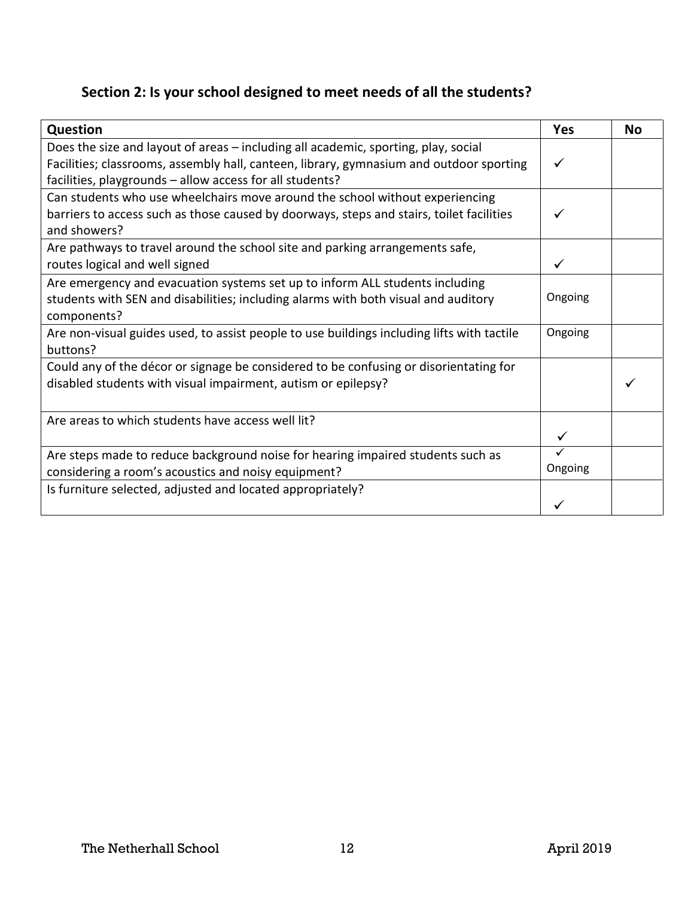## **Section 2: Is your school designed to meet needs of all the students?**

| <b>Question</b>                                                                                                                                                                                                                           | <b>Yes</b> | <b>No</b> |
|-------------------------------------------------------------------------------------------------------------------------------------------------------------------------------------------------------------------------------------------|------------|-----------|
| Does the size and layout of areas – including all academic, sporting, play, social<br>Facilities; classrooms, assembly hall, canteen, library, gymnasium and outdoor sporting<br>facilities, playgrounds - allow access for all students? | ✓          |           |
| Can students who use wheelchairs move around the school without experiencing<br>barriers to access such as those caused by doorways, steps and stairs, toilet facilities<br>and showers?                                                  |            |           |
| Are pathways to travel around the school site and parking arrangements safe,<br>routes logical and well signed                                                                                                                            |            |           |
| Are emergency and evacuation systems set up to inform ALL students including<br>students with SEN and disabilities; including alarms with both visual and auditory<br>components?                                                         | Ongoing    |           |
| Are non-visual guides used, to assist people to use buildings including lifts with tactile<br>buttons?                                                                                                                                    | Ongoing    |           |
| Could any of the décor or signage be considered to be confusing or disorientating for<br>disabled students with visual impairment, autism or epilepsy?                                                                                    |            |           |
| Are areas to which students have access well lit?                                                                                                                                                                                         |            |           |
| Are steps made to reduce background noise for hearing impaired students such as<br>considering a room's acoustics and noisy equipment?                                                                                                    | Ongoing    |           |
| Is furniture selected, adjusted and located appropriately?                                                                                                                                                                                |            |           |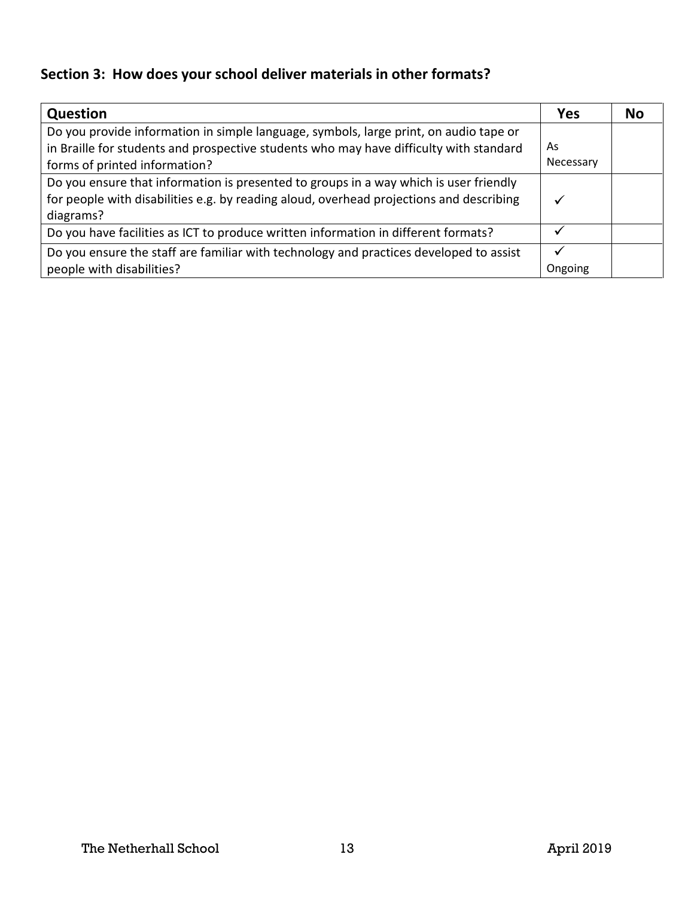## **Section 3: How does your school deliver materials in other formats?**

| Question                                                                                                                                                                                                         | <b>Yes</b>      | No |
|------------------------------------------------------------------------------------------------------------------------------------------------------------------------------------------------------------------|-----------------|----|
| Do you provide information in simple language, symbols, large print, on audio tape or<br>in Braille for students and prospective students who may have difficulty with standard<br>forms of printed information? | As<br>Necessary |    |
| Do you ensure that information is presented to groups in a way which is user friendly<br>for people with disabilities e.g. by reading aloud, overhead projections and describing<br>diagrams?                    | ✓               |    |
| Do you have facilities as ICT to produce written information in different formats?                                                                                                                               |                 |    |
| Do you ensure the staff are familiar with technology and practices developed to assist<br>people with disabilities?                                                                                              | Ongoing         |    |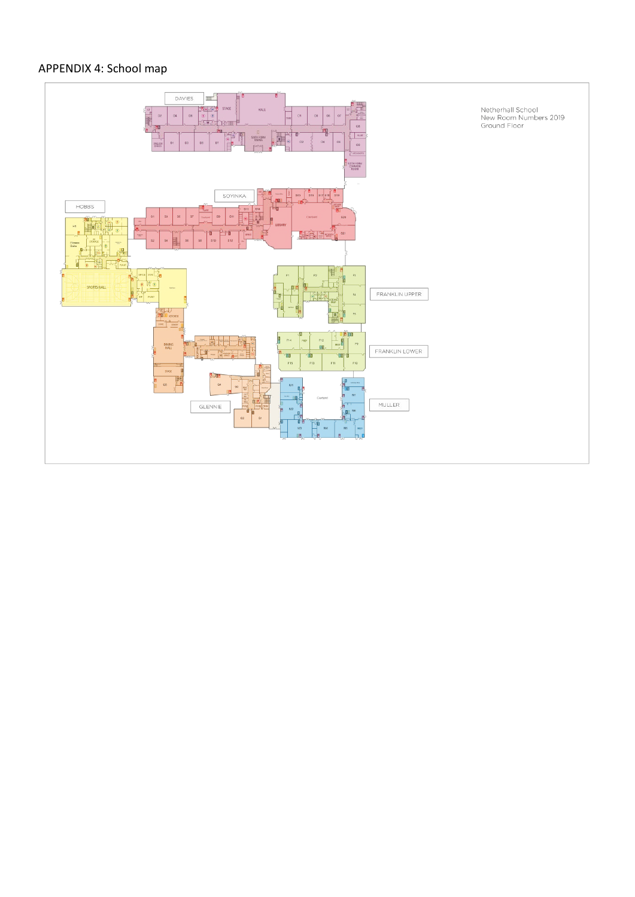## APPENDIX 4: School map